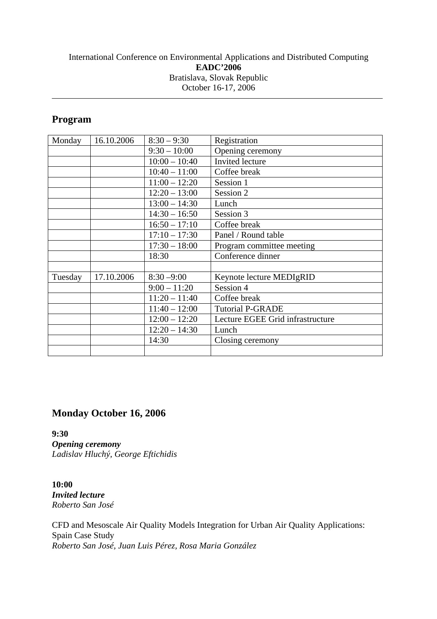### International Conference on Environmental Applications and Distributed Computing **EADC'2006**  Bratislava, Slovak Republic October 16-17, 2006

# **Program**

| Monday  | 16.10.2006 | $8:30 - 9:30$   | Registration                     |
|---------|------------|-----------------|----------------------------------|
|         |            | $9:30 - 10:00$  | Opening ceremony                 |
|         |            | $10:00 - 10:40$ | Invited lecture                  |
|         |            | $10:40 - 11:00$ | Coffee break                     |
|         |            | $11:00 - 12:20$ | Session 1                        |
|         |            | $12:20 - 13:00$ | Session 2                        |
|         |            | $13:00 - 14:30$ | Lunch                            |
|         |            | $14:30 - 16:50$ | Session 3                        |
|         |            | $16:50 - 17:10$ | Coffee break                     |
|         |            | $17:10 - 17:30$ | Panel / Round table              |
|         |            | $17:30 - 18:00$ | Program committee meeting        |
|         |            | 18:30           | Conference dinner                |
|         |            |                 |                                  |
| Tuesday | 17.10.2006 | $8:30 - 9:00$   | Keynote lecture MEDIgRID         |
|         |            | $9:00 - 11:20$  | Session 4                        |
|         |            | $11:20 - 11:40$ | Coffee break                     |
|         |            | $11:40 - 12:00$ | <b>Tutorial P-GRADE</b>          |
|         |            | $12:00 - 12:20$ | Lecture EGEE Grid infrastructure |
|         |            | $12:20 - 14:30$ | Lunch                            |
|         |            | 14:30           | Closing ceremony                 |
|         |            |                 |                                  |

# **Monday October 16, 2006**

**9:30**  *Opening ceremony Ladislav Hluchý, George Eftichidis* 

**10:00**  *Invited lecture Roberto San José* 

CFD and Mesoscale Air Quality Models Integration for Urban Air Quality Applications: Spain Case Study *Roberto San José, Juan Luis Pérez, Rosa Maria González*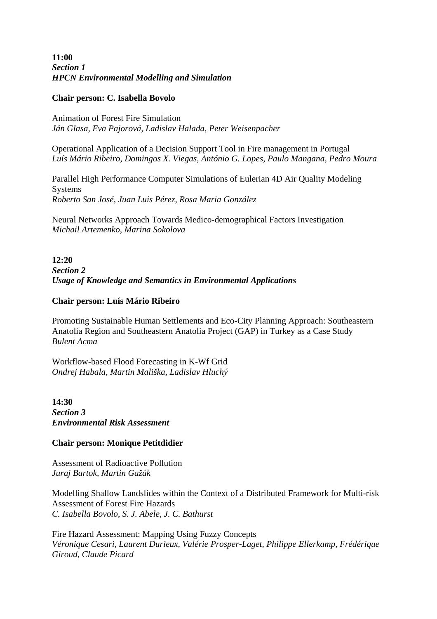**11:00**  *Section 1 HPCN Environmental Modelling and Simulation*

#### **Chair person: C. Isabella Bovolo**

Animation of Forest Fire Simulation *Ján Glasa, Eva Pajorová, Ladislav Halada, Peter Weisenpacher* 

Operational Application of a Decision Support Tool in Fire management in Portugal *Luís Mário Ribeiro, Domingos X. Viegas, António G. Lopes, Paulo Mangana, Pedro Moura* 

Parallel High Performance Computer Simulations of Eulerian 4D Air Quality Modeling Systems *Roberto San José, Juan Luis Pérez, Rosa Maria González* 

Neural Networks Approach Towards Medico-demographical Factors Investigation *Michail Artemenko, Marina Sokolova* 

**12:20**  *Section 2 Usage of Knowledge and Semantics in Environmental Applications*

### **Chair person: Luís Mário Ribeiro**

Promoting Sustainable Human Settlements and Eco-City Planning Approach: Southeastern Anatolia Region and Southeastern Anatolia Project (GAP) in Turkey as a Case Study *Bulent Acma* 

Workflow-based Flood Forecasting in K-Wf Grid *Ondrej Habala, Martin Mališka, Ladislav Hluchý* 

**14:30**  *Section 3 Environmental Risk Assessment*

### **Chair person: Monique Petitdidier**

Assessment of Radioactive Pollution *Juraj Bartok, Martin Gažák* 

Modelling Shallow Landslides within the Context of a Distributed Framework for Multi-risk Assessment of Forest Fire Hazards *C. Isabella Bovolo, S. J. Abele, J. C. Bathurst* 

Fire Hazard Assessment: Mapping Using Fuzzy Concepts *Véronique Cesari, Laurent Durieux, Valérie Prosper-Laget, Philippe Ellerkamp, Frédérique Giroud, Claude Picard*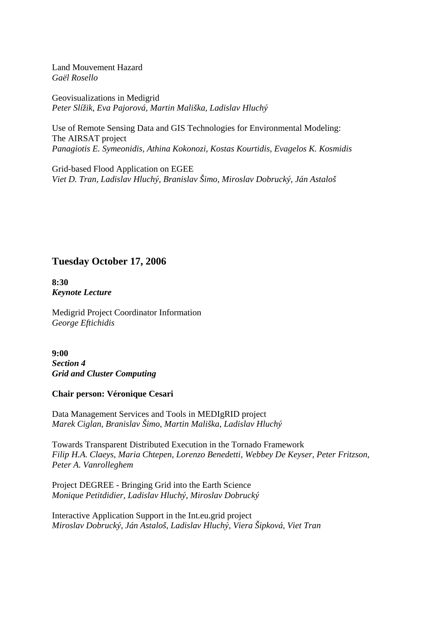Land Mouvement Hazard *Gaël Rosello* 

Geovisualizations in Medigrid *Peter Slížik, Eva Pajorová, Martin Mališka, Ladislav Hluchý* 

Use of Remote Sensing Data and GIS Technologies for Environmental Modeling: The AIRSAT project *Panagiotis E. Symeonidis, Athina Kokonozi, Kostas Kourtidis, Evagelos K. Kosmidis* 

Grid-based Flood Application on EGEE *Viet D. Tran, Ladislav Hluchý, Branislav Šimo, Miroslav Dobrucký, Ján Astaloš* 

# **Tuesday October 17, 2006**

**8:30**  *Keynote Lecture* 

Medigrid Project Coordinator Information *George Eftichidis* 

**9:00**  *Section 4 Grid and Cluster Computing*

#### **Chair person: Véronique Cesari**

Data Management Services and Tools in MEDIgRID project *Marek Ciglan, Branislav Šimo, Martin Mališka, Ladislav Hluchý* 

Towards Transparent Distributed Execution in the Tornado Framework *Filip H.A. Claeys, Maria Chtepen, Lorenzo Benedetti, Webbey De Keyser, Peter Fritzson, Peter A. Vanrolleghem* 

Project DEGREE - Bringing Grid into the Earth Science *Monique Petitdidier, Ladislav Hluchý, Miroslav Dobrucký* 

Interactive Application Support in the Int.eu.grid project *Miroslav Dobrucký, Ján Astaloš, Ladislav Hluchý, Viera Šipková, Viet Tran*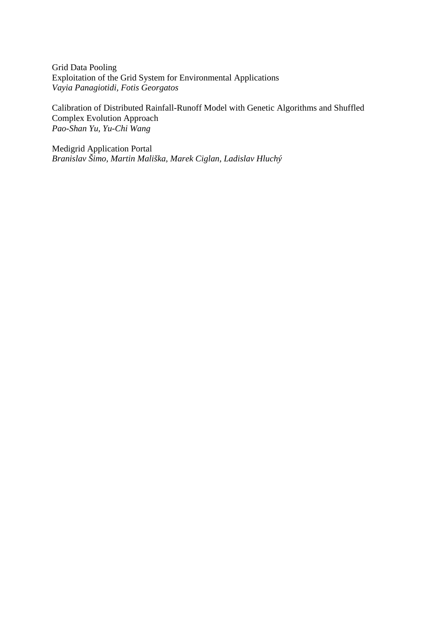Grid Data Pooling Exploitation of the Grid System for Environmental Applications *Vayia Panagiotidi, Fotis Georgatos* 

Calibration of Distributed Rainfall-Runoff Model with Genetic Algorithms and Shuffled Complex Evolution Approach *Pao-Shan Yu, Yu-Chi Wang* 

Medigrid Application Portal *Branislav Šimo, Martin Mališka, Marek Ciglan, Ladislav Hluchý*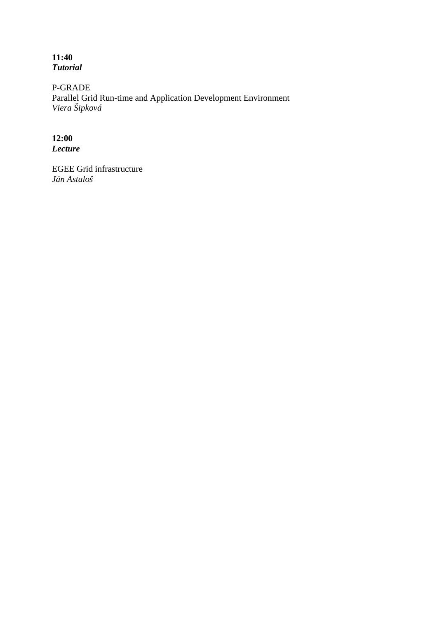**11:40**  *Tutorial* 

P-GRADE Parallel Grid Run-time and Application Development Environment *Viera Šipková* 

## **12:00**  *Lecture*

EGEE Grid infrastructure *Ján Astaloš*